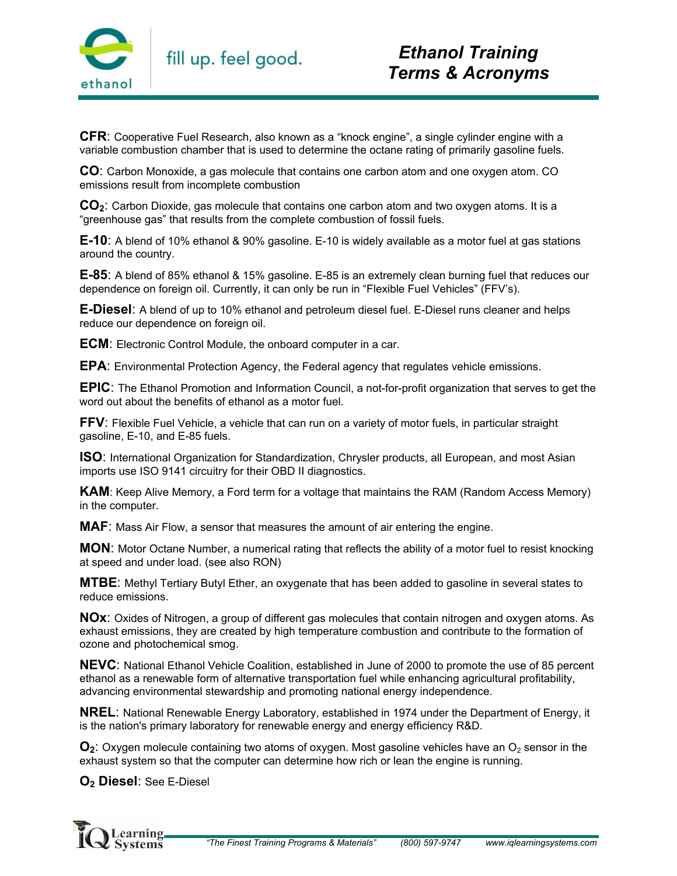

**CFR**: Cooperative Fuel Research, also known as a "knock engine", a single cylinder engine with a variable combustion chamber that is used to determine the octane rating of primarily gasoline fuels.

**CO**: Carbon Monoxide, a gas molecule that contains one carbon atom and one oxygen atom. CO emissions result from incomplete combustion

**CO2**: Carbon Dioxide, gas molecule that contains one carbon atom and two oxygen atoms. It is a "greenhouse gas" that results from the complete combustion of fossil fuels.

**E-10**: A blend of 10% ethanol & 90% gasoline. E-10 is widely available as a motor fuel at gas stations around the country.

**E-85**: A blend of 85% ethanol & 15% gasoline. E-85 is an extremely clean burning fuel that reduces our dependence on foreign oil. Currently, it can only be run in "Flexible Fuel Vehicles" (FFV's).

**E-Diesel**: A blend of up to 10% ethanol and petroleum diesel fuel. E-Diesel runs cleaner and helps reduce our dependence on foreign oil.

**ECM**: Electronic Control Module, the onboard computer in a car.

**EPA**: Environmental Protection Agency, the Federal agency that regulates vehicle emissions.

**EPIC**: The Ethanol Promotion and Information Council, a not-for-profit organization that serves to get the word out about the benefits of ethanol as a motor fuel.

**FFV**: Flexible Fuel Vehicle, a vehicle that can run on a variety of motor fuels, in particular straight gasoline, E-10, and E-85 fuels.

**ISO**: International Organization for Standardization, Chrysler products, all European, and most Asian imports use ISO 9141 circuitry for their OBD II diagnostics.

**KAM**: Keep Alive Memory, a Ford term for a voltage that maintains the RAM (Random Access Memory) in the computer.

**MAF**: Mass Air Flow, a sensor that measures the amount of air entering the engine.

**MON**: Motor Octane Number, a numerical rating that reflects the ability of a motor fuel to resist knocking at speed and under load. (see also RON)

**MTBE**: Methyl Tertiary Butyl Ether, an oxygenate that has been added to gasoline in several states to reduce emissions.

**NOx**: Oxides of Nitrogen, a group of different gas molecules that contain nitrogen and oxygen atoms. As exhaust emissions, they are created by high temperature combustion and contribute to the formation of ozone and photochemical smog.

**NEVC**: National Ethanol Vehicle Coalition, established in June of 2000 to promote the use of 85 percent ethanol as a renewable form of alternative transportation fuel while enhancing agricultural profitability, advancing environmental stewardship and promoting national energy independence.

**NREL**: National Renewable Energy Laboratory, established in 1974 under the Department of Energy, it is the nation's primary laboratory for renewable energy and energy efficiency R&D.

 $\mathbf{O}_2$ : Oxygen molecule containing two atoms of oxygen. Most gasoline vehicles have an  $O_2$  sensor in the exhaust system so that the computer can determine how rich or lean the engine is running.

**O2 Diesel**: See E-Diesel